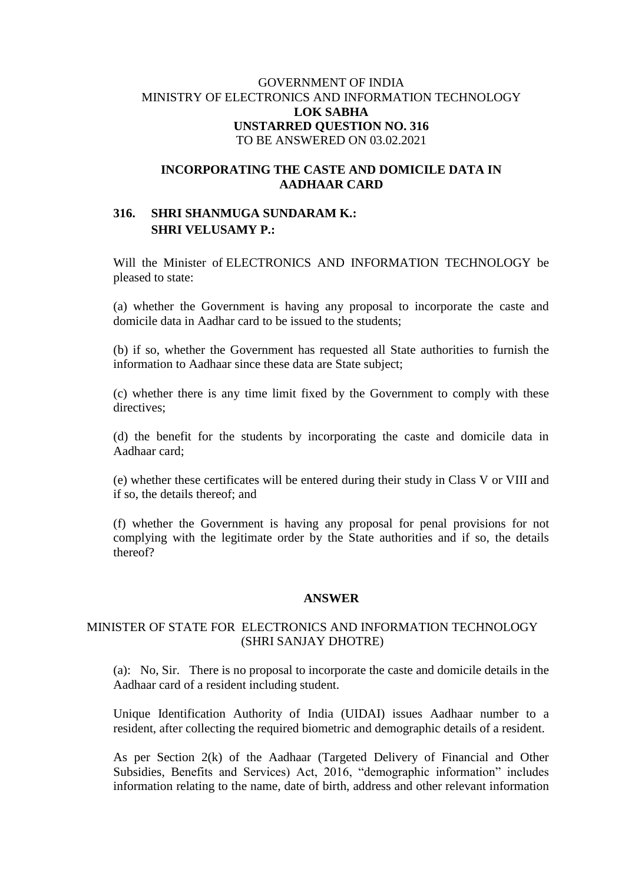## GOVERNMENT OF INDIA MINISTRY OF ELECTRONICS AND INFORMATION TECHNOLOGY **LOK SABHA UNSTARRED QUESTION NO. 316** TO BE ANSWERED ON 03.02.2021

## **INCORPORATING THE CASTE AND DOMICILE DATA IN AADHAAR CARD**

# **316. SHRI SHANMUGA SUNDARAM K.: SHRI VELUSAMY P.:**

Will the Minister of ELECTRONICS AND INFORMATION TECHNOLOGY be pleased to state:

(a) whether the Government is having any proposal to incorporate the caste and domicile data in Aadhar card to be issued to the students;

(b) if so, whether the Government has requested all State authorities to furnish the information to Aadhaar since these data are State subject;

(c) whether there is any time limit fixed by the Government to comply with these directives;

(d) the benefit for the students by incorporating the caste and domicile data in Aadhaar card;

(e) whether these certificates will be entered during their study in Class V or VIII and if so, the details thereof; and

(f) whether the Government is having any proposal for penal provisions for not complying with the legitimate order by the State authorities and if so, the details thereof?

#### **ANSWER**

### MINISTER OF STATE FOR ELECTRONICS AND INFORMATION TECHNOLOGY (SHRI SANJAY DHOTRE)

(a): No, Sir. There is no proposal to incorporate the caste and domicile details in the Aadhaar card of a resident including student.

Unique Identification Authority of India (UIDAI) issues Aadhaar number to a resident, after collecting the required biometric and demographic details of a resident.

As per Section 2(k) of the Aadhaar (Targeted Delivery of Financial and Other Subsidies, Benefits and Services) Act, 2016, "demographic information" includes information relating to the name, date of birth, address and other relevant information